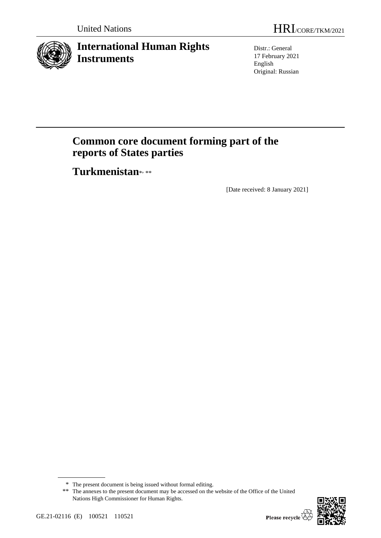

## **International Human Rights Instruments**

Distr.: General 17 February 2021 English Original: Russian

# **Common core document forming part of the reports of States parties**

Turkmenistan\*,\*\*

[Date received: 8 January 2021]

<sup>\*\*</sup> The annexes to the present document may be accessed on the website of the Office of the United Nations High Commissioner for Human Rights.



<sup>\*</sup> The present document is being issued without formal editing.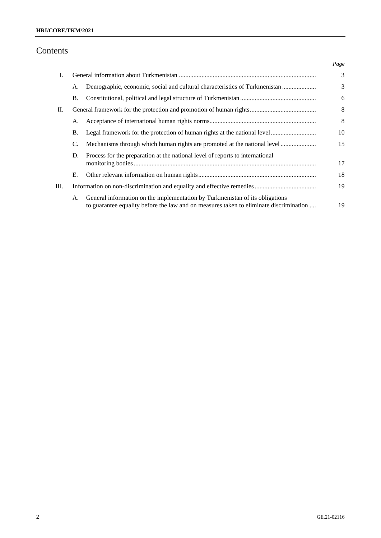## Contents

|    |           |                                                                                        | Page |  |
|----|-----------|----------------------------------------------------------------------------------------|------|--|
| I. |           |                                                                                        |      |  |
|    | А.        | Demographic, economic, social and cultural characteristics of Turkmenistan             | 3    |  |
|    | Β.        |                                                                                        | 6    |  |
| П. |           |                                                                                        |      |  |
|    | А.        |                                                                                        | 8    |  |
|    | <b>B.</b> | Legal framework for the protection of human rights at the national level               | 10   |  |
|    | C.        | Mechanisms through which human rights are promoted at the national level               | 15   |  |
|    | D.        | Process for the preparation at the national level of reports to international          |      |  |
|    |           |                                                                                        | 17   |  |
|    | Е.        |                                                                                        | 18   |  |
| Ш. |           |                                                                                        |      |  |
|    | A.        | General information on the implementation by Turkmenistan of its obligations           |      |  |
|    |           | to guarantee equality before the law and on measures taken to eliminate discrimination | 19   |  |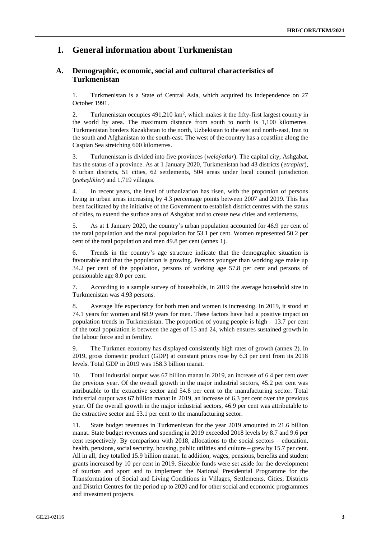### **I. General information about Turkmenistan**

#### **A. Demographic, economic, social and cultural characteristics of Turkmenistan**

1. Turkmenistan is a State of Central Asia, which acquired its independence on 27 October 1991.

2. Turkmenistan occupies  $491,210 \text{ km}^2$ , which makes it the fifty-first largest country in the world by area. The maximum distance from south to north is 1,100 kilometres. Turkmenistan borders Kazakhstan to the north, Uzbekistan to the east and north-east, Iran to the south and Afghanistan to the south-east. The west of the country has a coastline along the Caspian Sea stretching 600 kilometres.

3. Turkmenistan is divided into five provinces (*welaýatlar*). The capital city, Ashgabat, has the status of a province. As at 1 January 2020, Turkmenistan had 43 districts (*etraplar*), 6 urban districts, 51 cities, 62 settlements, 504 areas under local council jurisdiction (*geňeşlikler*) and 1,719 villages.

4. In recent years, the level of urbanization has risen, with the proportion of persons living in urban areas increasing by 4.3 percentage points between 2007 and 2019. This has been facilitated by the initiative of the Government to establish district centres with the status of cities, to extend the surface area of Ashgabat and to create new cities and settlements.

5. As at 1 January 2020, the country's urban population accounted for 46.9 per cent of the total population and the rural population for 53.1 per cent. Women represented 50.2 per cent of the total population and men 49.8 per cent (annex 1).

6. Trends in the country's age structure indicate that the demographic situation is favourable and that the population is growing. Persons younger than working age make up 34.2 per cent of the population, persons of working age 57.8 per cent and persons of pensionable age 8.0 per cent.

7. According to a sample survey of households, in 2019 the average household size in Turkmenistan was 4.93 persons.

8. Average life expectancy for both men and women is increasing. In 2019, it stood at 74.1 years for women and 68.9 years for men. These factors have had a positive impact on population trends in Turkmenistan. The proportion of young people is high – 13.7 per cent of the total population is between the ages of 15 and 24, which ensures sustained growth in the labour force and in fertility.

9. The Turkmen economy has displayed consistently high rates of growth (annex 2). In 2019, gross domestic product (GDP) at constant prices rose by 6.3 per cent from its 2018 levels. Total GDP in 2019 was 158.3 billion manat.

10. Total industrial output was 67 billion manat in 2019, an increase of 6.4 per cent over the previous year. Of the overall growth in the major industrial sectors, 45.2 per cent was attributable to the extractive sector and 54.8 per cent to the manufacturing sector. Total industrial output was 67 billion manat in 2019, an increase of 6.3 per cent over the previous year. Of the overall growth in the major industrial sectors, 46.9 per cent was attributable to the extractive sector and 53.1 per cent to the manufacturing sector.

11. State budget revenues in Turkmenistan for the year 2019 amounted to 21.6 billion manat. State budget revenues and spending in 2019 exceeded 2018 levels by 8.7 and 9.6 per cent respectively. By comparison with 2018, allocations to the social sectors – education, health, pensions, social security, housing, public utilities and culture – grew by 15.7 per cent. All in all, they totalled 15.9 billion manat. In addition, wages, pensions, benefits and student grants increased by 10 per cent in 2019. Sizeable funds were set aside for the development of tourism and sport and to implement the National Presidential Programme for the Transformation of Social and Living Conditions in Villages, Settlements, Cities, Districts and District Centres for the period up to 2020 and for other social and economic programmes and investment projects.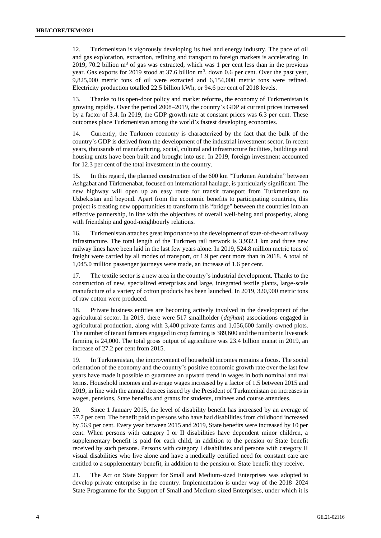12. Turkmenistan is vigorously developing its fuel and energy industry. The pace of oil and gas exploration, extraction, refining and transport to foreign markets is accelerating. In 2019, 70.2 billion  $m<sup>3</sup>$  of gas was extracted, which was 1 per cent less than in the previous year. Gas exports for 2019 stood at 37.6 billion  $m^3$ , down 0.6 per cent. Over the past year, 9,825,000 metric tons of oil were extracted and 6,154,000 metric tons were refined. Electricity production totalled 22.5 billion kWh, or 94.6 per cent of 2018 levels.

13. Thanks to its open-door policy and market reforms, the economy of Turkmenistan is growing rapidly. Over the period 2008–2019, the country's GDP at current prices increased by a factor of 3.4. In 2019, the GDP growth rate at constant prices was 6.3 per cent. These outcomes place Turkmenistan among the world's fastest developing economies.

14. Currently, the Turkmen economy is characterized by the fact that the bulk of the country's GDP is derived from the development of the industrial investment sector. In recent years, thousands of manufacturing, social, cultural and infrastructure facilities, buildings and housing units have been built and brought into use. In 2019, foreign investment accounted for 12.3 per cent of the total investment in the country.

15. In this regard, the planned construction of the 600 km "Turkmen Autobahn" between Ashgabat and Türkmenabat, focused on international haulage, is particularly significant. The new highway will open up an easy route for transit transport from Turkmenistan to Uzbekistan and beyond. Apart from the economic benefits to participating countries, this project is creating new opportunities to transform this "bridge" between the countries into an effective partnership, in line with the objectives of overall well-being and prosperity, along with friendship and good-neighbourly relations.

16. Turkmenistan attaches great importance to the development of state-of-the-art railway infrastructure. The total length of the Turkmen rail network is 3,932.1 km and three new railway lines have been laid in the last few years alone. In 2019, 524.8 million metric tons of freight were carried by all modes of transport, or 1.9 per cent more than in 2018. A total of 1,045.0 million passenger journeys were made, an increase of 1.6 per cent.

17. The textile sector is a new area in the country's industrial development. Thanks to the construction of new, specialized enterprises and large, integrated textile plants, large-scale manufacture of a variety of cotton products has been launched. In 2019, 320,900 metric tons of raw cotton were produced.

Private business entities are becoming actively involved in the development of the agricultural sector. In 2019, there were 517 smallholder (*daýhan*) associations engaged in agricultural production, along with 3,400 private farms and 1,056,600 family-owned plots. The number of tenant farmers engaged in crop farming is 389,600 and the number in livestock farming is 24,000. The total gross output of agriculture was 23.4 billion manat in 2019, an increase of 27.2 per cent from 2015.

19. In Turkmenistan, the improvement of household incomes remains a focus. The social orientation of the economy and the country's positive economic growth rate over the last few years have made it possible to guarantee an upward trend in wages in both nominal and real terms. Household incomes and average wages increased by a factor of 1.5 between 2015 and 2019, in line with the annual decrees issued by the President of Turkmenistan on increases in wages, pensions, State benefits and grants for students, trainees and course attendees.

20. Since 1 January 2015, the level of disability benefit has increased by an average of 57.7 per cent. The benefit paid to persons who have had disabilities from childhood increased by 56.9 per cent. Every year between 2015 and 2019, State benefits were increased by 10 per cent. When persons with category I or II disabilities have dependent minor children, a supplementary benefit is paid for each child, in addition to the pension or State benefit received by such persons. Persons with category I disabilities and persons with category II visual disabilities who live alone and have a medically certified need for constant care are entitled to a supplementary benefit, in addition to the pension or State benefit they receive.

21. The Act on State Support for Small and Medium-sized Enterprises was adopted to develop private enterprise in the country. Implementation is under way of the 2018–2024 State Programme for the Support of Small and Medium-sized Enterprises, under which it is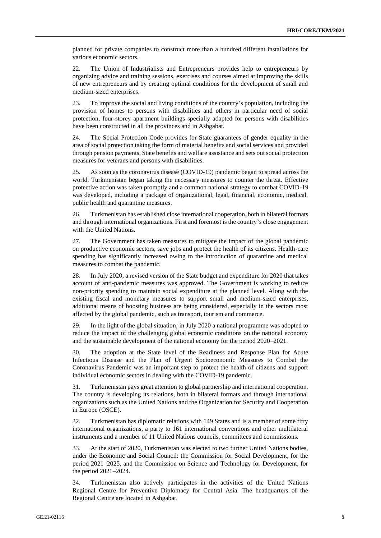planned for private companies to construct more than a hundred different installations for various economic sectors.

22. The Union of Industrialists and Entrepreneurs provides help to entrepreneurs by organizing advice and training sessions, exercises and courses aimed at improving the skills of new entrepreneurs and by creating optimal conditions for the development of small and medium-sized enterprises.

23. To improve the social and living conditions of the country's population, including the provision of homes to persons with disabilities and others in particular need of social protection, four-storey apartment buildings specially adapted for persons with disabilities have been constructed in all the provinces and in Ashgabat.

24. The Social Protection Code provides for State guarantees of gender equality in the area of social protection taking the form of material benefits and social services and provided through pension payments, State benefits and welfare assistance and sets out social protection measures for veterans and persons with disabilities.

25. As soon as the coronavirus disease (COVID-19) pandemic began to spread across the world, Turkmenistan began taking the necessary measures to counter the threat. Effective protective action was taken promptly and a common national strategy to combat COVID-19 was developed, including a package of organizational, legal, financial, economic, medical, public health and quarantine measures.

26. Turkmenistan has established close international cooperation, both in bilateral formats and through international organizations. First and foremost is the country's close engagement with the United Nations.

27. The Government has taken measures to mitigate the impact of the global pandemic on productive economic sectors, save jobs and protect the health of its citizens. Health-care spending has significantly increased owing to the introduction of quarantine and medical measures to combat the pandemic.

28. In July 2020, a revised version of the State budget and expenditure for 2020 that takes account of anti-pandemic measures was approved. The Government is working to reduce non-priority spending to maintain social expenditure at the planned level. Along with the existing fiscal and monetary measures to support small and medium-sized enterprises, additional means of boosting business are being considered, especially in the sectors most affected by the global pandemic, such as transport, tourism and commerce.

29. In the light of the global situation, in July 2020 a national programme was adopted to reduce the impact of the challenging global economic conditions on the national economy and the sustainable development of the national economy for the period 2020–2021.

30. The adoption at the State level of the Readiness and Response Plan for Acute Infectious Disease and the Plan of Urgent Socioeconomic Measures to Combat the Coronavirus Pandemic was an important step to protect the health of citizens and support individual economic sectors in dealing with the COVID-19 pandemic.

31. Turkmenistan pays great attention to global partnership and international cooperation. The country is developing its relations, both in bilateral formats and through international organizations such as the United Nations and the Organization for Security and Cooperation in Europe (OSCE).

32. Turkmenistan has diplomatic relations with 149 States and is a member of some fifty international organizations, a party to 161 international conventions and other multilateral instruments and a member of 11 United Nations councils, committees and commissions.

33. At the start of 2020, Turkmenistan was elected to two further United Nations bodies, under the Economic and Social Council: the Commission for Social Development, for the period 2021–2025, and the Commission on Science and Technology for Development, for the period 2021–2024.

34. Turkmenistan also actively participates in the activities of the United Nations Regional Centre for Preventive Diplomacy for Central Asia. The headquarters of the Regional Centre are located in Ashgabat.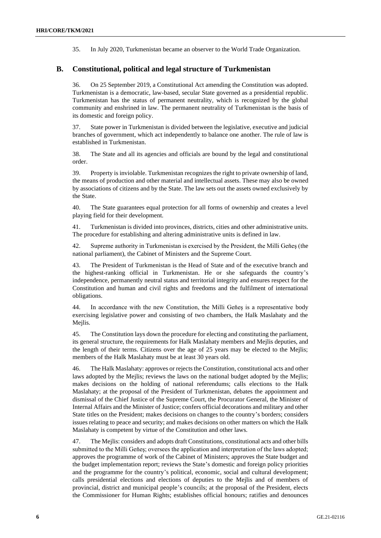35. In July 2020, Turkmenistan became an observer to the World Trade Organization.

#### **B. Constitutional, political and legal structure of Turkmenistan**

36. On 25 September 2019, a Constitutional Act amending the Constitution was adopted. Turkmenistan is a democratic, law-based, secular State governed as a presidential republic. Turkmenistan has the status of permanent neutrality, which is recognized by the global community and enshrined in law. The permanent neutrality of Turkmenistan is the basis of its domestic and foreign policy.

37. State power in Turkmenistan is divided between the legislative, executive and judicial branches of government, which act independently to balance one another. The rule of law is established in Turkmenistan.

38. The State and all its agencies and officials are bound by the legal and constitutional order.

39. Property is inviolable. Turkmenistan recognizes the right to private ownership of land, the means of production and other material and intellectual assets. These may also be owned by associations of citizens and by the State. The law sets out the assets owned exclusively by the State.

40. The State guarantees equal protection for all forms of ownership and creates a level playing field for their development.

41. Turkmenistan is divided into provinces, districts, cities and other administrative units. The procedure for establishing and altering administrative units is defined in law.

42. Supreme authority in Turkmenistan is exercised by the President, the Milli Geňeş (the national parliament), the Cabinet of Ministers and the Supreme Court.

43. The President of Turkmenistan is the Head of State and of the executive branch and the highest-ranking official in Turkmenistan. He or she safeguards the country's independence, permanently neutral status and territorial integrity and ensures respect for the Constitution and human and civil rights and freedoms and the fulfilment of international obligations.

44. In accordance with the new Constitution, the Milli Geňeş is a representative body exercising legislative power and consisting of two chambers, the Halk Maslahaty and the Mejlis.

45. The Constitution lays down the procedure for electing and constituting the parliament, its general structure, the requirements for Halk Maslahaty members and Mejlis deputies, and the length of their terms. Citizens over the age of 25 years may be elected to the Mejlis; members of the Halk Maslahaty must be at least 30 years old.

46. The Halk Maslahaty: approves or rejects the Constitution, constitutional acts and other laws adopted by the Mejlis; reviews the laws on the national budget adopted by the Mejlis; makes decisions on the holding of national referendums; calls elections to the Halk Maslahaty; at the proposal of the President of Turkmenistan, debates the appointment and dismissal of the Chief Justice of the Supreme Court, the Procurator General, the Minister of Internal Affairs and the Minister of Justice; confers official decorations and military and other State titles on the President; makes decisions on changes to the country's borders; considers issues relating to peace and security; and makes decisions on other matters on which the Halk Maslahaty is competent by virtue of the Constitution and other laws.

47. The Mejlis: considers and adopts draft Constitutions, constitutional acts and other bills submitted to the Milli Geňeş; oversees the application and interpretation of the laws adopted; approves the programme of work of the Cabinet of Ministers; approves the State budget and the budget implementation report; reviews the State's domestic and foreign policy priorities and the programme for the country's political, economic, social and cultural development; calls presidential elections and elections of deputies to the Mejlis and of members of provincial, district and municipal people's councils; at the proposal of the President, elects the Commissioner for Human Rights; establishes official honours; ratifies and denounces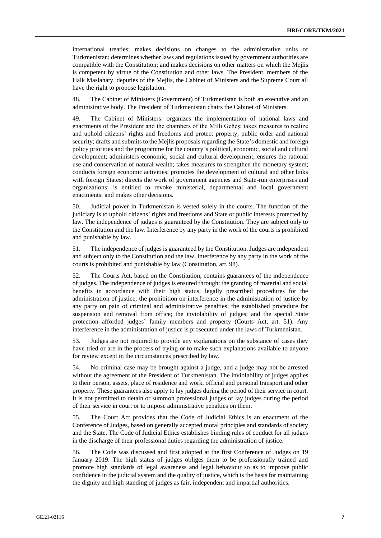international treaties; makes decisions on changes to the administrative units of Turkmenistan; determines whether laws and regulations issued by government authorities are compatible with the Constitution; and makes decisions on other matters on which the Mejlis is competent by virtue of the Constitution and other laws. The President, members of the Halk Maslahaty, deputies of the Mejlis, the Cabinet of Ministers and the Supreme Court all have the right to propose legislation.

48. The Cabinet of Ministers (Government) of Turkmenistan is both an executive and an administrative body. The President of Turkmenistan chairs the Cabinet of Ministers.

49. The Cabinet of Ministers: organizes the implementation of national laws and enactments of the President and the chambers of the Milli Geňeş; takes measures to realize and uphold citizens' rights and freedoms and protect property, public order and national security; drafts and submits to the Mejlis proposals regarding the State's domestic and foreign policy priorities and the programme for the country's political, economic, social and cultural development; administers economic, social and cultural development; ensures the rational use and conservation of natural wealth; takes measures to strengthen the monetary system; conducts foreign economic activities; promotes the development of cultural and other links with foreign States; directs the work of government agencies and State-run enterprises and organizations; is entitled to revoke ministerial, departmental and local government enactments; and makes other decisions.

50. Judicial power in Turkmenistan is vested solely in the courts. The function of the judiciary is to uphold citizens' rights and freedoms and State or public interests protected by law. The independence of judges is guaranteed by the Constitution. They are subject only to the Constitution and the law. Interference by any party in the work of the courts is prohibited and punishable by law.

51. The independence of judges is guaranteed by the Constitution. Judges are independent and subject only to the Constitution and the law. Interference by any party in the work of the courts is prohibited and punishable by law (Constitution, art. 98).

52. The Courts Act, based on the Constitution, contains guarantees of the independence of judges. The independence of judges is ensured through: the granting of material and social benefits in accordance with their high status; legally prescribed procedures for the administration of justice; the prohibition on interference in the administration of justice by any party on pain of criminal and administrative penalties; the established procedure for suspension and removal from office; the inviolability of judges; and the special State protection afforded judges' family members and property (Courts Act, art. 51). Any interference in the administration of justice is prosecuted under the laws of Turkmenistan.

53. Judges are not required to provide any explanations on the substance of cases they have tried or are in the process of trying or to make such explanations available to anyone for review except in the circumstances prescribed by law.

54. No criminal case may be brought against a judge, and a judge may not be arrested without the agreement of the President of Turkmenistan. The inviolability of judges applies to their person, assets, place of residence and work, official and personal transport and other property. These guarantees also apply to lay judges during the period of their service in court. It is not permitted to detain or summon professional judges or lay judges during the period of their service in court or to impose administrative penalties on them.

55. The Court Act provides that the Code of Judicial Ethics is an enactment of the Conference of Judges, based on generally accepted moral principles and standards of society and the State. The Code of Judicial Ethics establishes binding rules of conduct for all judges in the discharge of their professional duties regarding the administration of justice.

56. The Code was discussed and first adopted at the first Conference of Judges on 19 January 2019. The high status of judges obliges them to be professionally trained and promote high standards of legal awareness and legal behaviour so as to improve public confidence in the judicial system and the quality of justice, which is the basis for maintaining the dignity and high standing of judges as fair, independent and impartial authorities.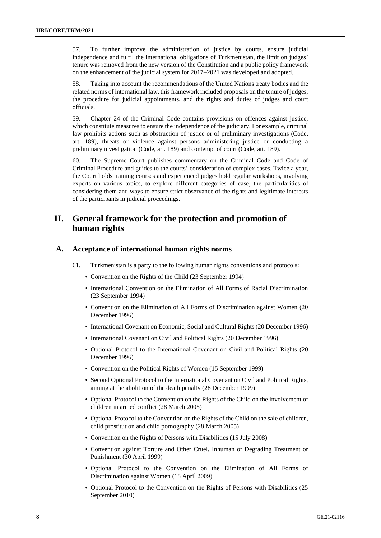57. To further improve the administration of justice by courts, ensure judicial independence and fulfil the international obligations of Turkmenistan, the limit on judges' tenure was removed from the new version of the Constitution and a public policy framework on the enhancement of the judicial system for 2017–2021 was developed and adopted.

58. Taking into account the recommendations of the United Nations treaty bodies and the related norms of international law, this framework included proposals on the tenure of judges, the procedure for judicial appointments, and the rights and duties of judges and court officials.

59. Chapter 24 of the Criminal Code contains provisions on offences against justice, which constitute measures to ensure the independence of the judiciary. For example, criminal law prohibits actions such as obstruction of justice or of preliminary investigations (Code, art. 189), threats or violence against persons administering justice or conducting a preliminary investigation (Code, art. 189) and contempt of court (Code, art. 189).

60. The Supreme Court publishes commentary on the Criminal Code and Code of Criminal Procedure and guides to the courts' consideration of complex cases. Twice a year, the Court holds training courses and experienced judges hold regular workshops, involving experts on various topics, to explore different categories of case, the particularities of considering them and ways to ensure strict observance of the rights and legitimate interests of the participants in judicial proceedings.

## **II. General framework for the protection and promotion of human rights**

#### **A. Acceptance of international human rights norms**

- 61. Turkmenistan is a party to the following human rights conventions and protocols:
	- Convention on the Rights of the Child (23 September 1994)
	- International Convention on the Elimination of All Forms of Racial Discrimination (23 September 1994)
	- Convention on the Elimination of All Forms of Discrimination against Women (20 December 1996)
	- International Covenant on Economic, Social and Cultural Rights (20 December 1996)
	- International Covenant on Civil and Political Rights (20 December 1996)
	- Optional Protocol to the International Covenant on Civil and Political Rights (20 December 1996)
	- Convention on the Political Rights of Women (15 September 1999)
	- Second Optional Protocol to the International Covenant on Civil and Political Rights, aiming at the abolition of the death penalty (28 December 1999)
	- Optional Protocol to the Convention on the Rights of the Child on the involvement of children in armed conflict (28 March 2005)
	- Optional Protocol to the Convention on the Rights of the Child on the sale of children, child prostitution and child pornography (28 March 2005)
	- Convention on the Rights of Persons with Disabilities (15 July 2008)
	- Convention against Torture and Other Cruel, Inhuman or Degrading Treatment or Punishment (30 April 1999)
	- Optional Protocol to the Convention on the Elimination of All Forms of Discrimination against Women (18 April 2009)
	- Optional Protocol to the Convention on the Rights of Persons with Disabilities (25 September 2010)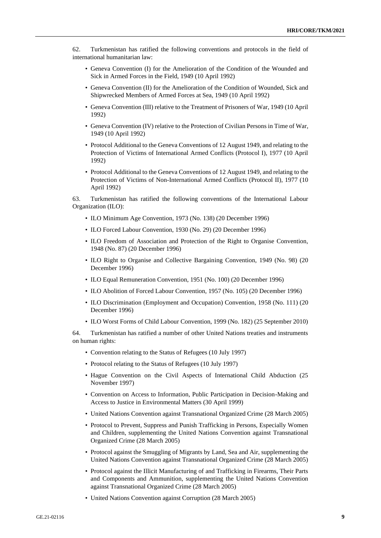62. Turkmenistan has ratified the following conventions and protocols in the field of international humanitarian law:

- Geneva Convention (I) for the Amelioration of the Condition of the Wounded and Sick in Armed Forces in the Field, 1949 (10 April 1992)
- Geneva Convention (II) for the Amelioration of the Condition of Wounded, Sick and Shipwrecked Members of Armed Forces at Sea, 1949 (10 April 1992)
- Geneva Convention (III) relative to the Treatment of Prisoners of War, 1949 (10 April 1992)
- Geneva Convention (IV) relative to the Protection of Civilian Persons in Time of War, 1949 (10 April 1992)
- Protocol Additional to the Geneva Conventions of 12 August 1949, and relating to the Protection of Victims of International Armed Conflicts (Protocol I), 1977 (10 April 1992)
- Protocol Additional to the Geneva Conventions of 12 August 1949, and relating to the Protection of Victims of Non-International Armed Conflicts (Protocol II), 1977 (10 April 1992)

63. Turkmenistan has ratified the following conventions of the International Labour Organization (ILO):

- ILO Minimum Age Convention, 1973 (No. 138) (20 December 1996)
- ILO Forced Labour Convention, 1930 (No. 29) (20 December 1996)
- ILO Freedom of Association and Protection of the Right to Organise Convention, 1948 (No. 87) (20 December 1996)
- ILO Right to Organise and Collective Bargaining Convention, 1949 (No. 98) (20 December 1996)
- ILO Equal Remuneration Convention, 1951 (No. 100) (20 December 1996)
- ILO Abolition of Forced Labour Convention, 1957 (No. 105) (20 December 1996)
- ILO Discrimination (Employment and Occupation) Convention, 1958 (No. 111) (20 December 1996)
- ILO Worst Forms of Child Labour Convention, 1999 (No. 182) (25 September 2010)

64. Turkmenistan has ratified a number of other United Nations treaties and instruments on human rights:

- Convention relating to the Status of Refugees (10 July 1997)
- Protocol relating to the Status of Refugees (10 July 1997)
- Hague Convention on the Civil Aspects of International Child Abduction (25 November 1997)
- Convention on Access to Information, Public Participation in Decision-Making and Access to Justice in Environmental Matters (30 April 1999)
- United Nations Convention against Transnational Organized Crime (28 March 2005)
- Protocol to Prevent, Suppress and Punish Trafficking in Persons, Especially Women and Children, supplementing the United Nations Convention against Transnational Organized Crime (28 March 2005)
- Protocol against the Smuggling of Migrants by Land, Sea and Air, supplementing the United Nations Convention against Transnational Organized Crime (28 March 2005)
- Protocol against the Illicit Manufacturing of and Trafficking in Firearms, Their Parts and Components and Ammunition, supplementing the United Nations Convention against Transnational Organized Crime (28 March 2005)
- United Nations Convention against Corruption (28 March 2005)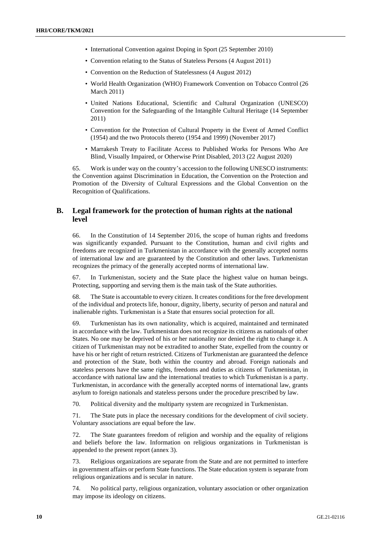- International Convention against Doping in Sport (25 September 2010)
- Convention relating to the Status of Stateless Persons (4 August 2011)
- Convention on the Reduction of Statelessness (4 August 2012)
- World Health Organization (WHO) Framework Convention on Tobacco Control (26 March 2011)
- United Nations Educational, Scientific and Cultural Organization (UNESCO) Convention for the Safeguarding of the Intangible Cultural Heritage (14 September 2011)
- Convention for the Protection of Cultural Property in the Event of Armed Conflict (1954) and the two Protocols thereto (1954 and 1999) (November 2017)
- Marrakesh Treaty to Facilitate Access to Published Works for Persons Who Are Blind, Visually Impaired, or Otherwise Print Disabled, 2013 (22 August 2020)

65. Work is under way on the country's accession to the following UNESCO instruments: the Convention against Discrimination in Education, the Convention on the Protection and Promotion of the Diversity of Cultural Expressions and the Global Convention on the Recognition of Qualifications.

#### **B. Legal framework for the protection of human rights at the national level**

66. In the Constitution of 14 September 2016, the scope of human rights and freedoms was significantly expanded. Pursuant to the Constitution, human and civil rights and freedoms are recognized in Turkmenistan in accordance with the generally accepted norms of international law and are guaranteed by the Constitution and other laws. Turkmenistan recognizes the primacy of the generally accepted norms of international law.

67. In Turkmenistan, society and the State place the highest value on human beings. Protecting, supporting and serving them is the main task of the State authorities.

68. The State is accountable to every citizen. It creates conditions for the free development of the individual and protects life, honour, dignity, liberty, security of person and natural and inalienable rights. Turkmenistan is a State that ensures social protection for all.

69. Turkmenistan has its own nationality, which is acquired, maintained and terminated in accordance with the law. Turkmenistan does not recognize its citizens as nationals of other States. No one may be deprived of his or her nationality nor denied the right to change it. A citizen of Turkmenistan may not be extradited to another State, expelled from the country or have his or her right of return restricted. Citizens of Turkmenistan are guaranteed the defence and protection of the State, both within the country and abroad. Foreign nationals and stateless persons have the same rights, freedoms and duties as citizens of Turkmenistan, in accordance with national law and the international treaties to which Turkmenistan is a party. Turkmenistan, in accordance with the generally accepted norms of international law, grants asylum to foreign nationals and stateless persons under the procedure prescribed by law.

70. Political diversity and the multiparty system are recognized in Turkmenistan.

71. The State puts in place the necessary conditions for the development of civil society. Voluntary associations are equal before the law.

72. The State guarantees freedom of religion and worship and the equality of religions and beliefs before the law. Information on religious organizations in Turkmenistan is appended to the present report (annex 3).

73. Religious organizations are separate from the State and are not permitted to interfere in government affairs or perform State functions. The State education system is separate from religious organizations and is secular in nature.

74. No political party, religious organization, voluntary association or other organization may impose its ideology on citizens.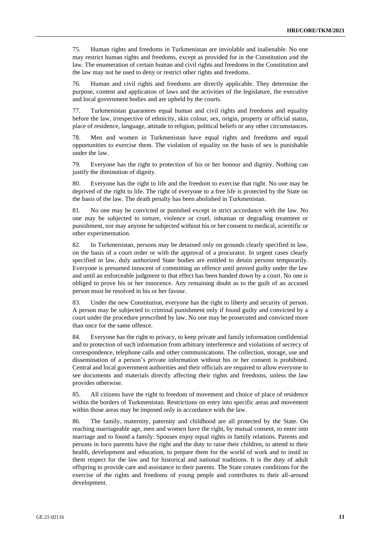75. Human rights and freedoms in Turkmenistan are inviolable and inalienable. No one may restrict human rights and freedoms, except as provided for in the Constitution and the law. The enumeration of certain human and civil rights and freedoms in the Constitution and the law may not be used to deny or restrict other rights and freedoms.

76. Human and civil rights and freedoms are directly applicable. They determine the purpose, content and application of laws and the activities of the legislature, the executive and local government bodies and are upheld by the courts.

77. Turkmenistan guarantees equal human and civil rights and freedoms and equality before the law, irrespective of ethnicity, skin colour, sex, origin, property or official status, place of residence, language, attitude to religion, political beliefs or any other circumstances.

78. Men and women in Turkmenistan have equal rights and freedoms and equal opportunities to exercise them. The violation of equality on the basis of sex is punishable under the law.

79. Everyone has the right to protection of his or her honour and dignity. Nothing can justify the diminution of dignity.

80. Everyone has the right to life and the freedom to exercise that right. No one may be deprived of the right to life. The right of everyone to a free life is protected by the State on the basis of the law. The death penalty has been abolished in Turkmenistan.

81. No one may be convicted or punished except in strict accordance with the law. No one may be subjected to torture, violence or cruel, inhuman or degrading treatment or punishment, nor may anyone be subjected without his or her consent to medical, scientific or other experimentation.

82. In Turkmenistan, persons may be detained only on grounds clearly specified in law, on the basis of a court order or with the approval of a procurator. In urgent cases clearly specified in law, duly authorized State bodies are entitled to detain persons temporarily. Everyone is presumed innocent of committing an offence until proved guilty under the law and until an enforceable judgment to that effect has been handed down by a court. No one is obliged to prove his or her innocence. Any remaining doubt as to the guilt of an accused person must be resolved in his or her favour.

83. Under the new Constitution, everyone has the right to liberty and security of person. A person may be subjected to criminal punishment only if found guilty and convicted by a court under the procedure prescribed by law. No one may be prosecuted and convicted more than once for the same offence.

84. Everyone has the right to privacy, to keep private and family information confidential and to protection of such information from arbitrary interference and violations of secrecy of correspondence, telephone calls and other communications. The collection, storage, use and dissemination of a person's private information without his or her consent is prohibited. Central and local government authorities and their officials are required to allow everyone to see documents and materials directly affecting their rights and freedoms, unless the law provides otherwise.

85. All citizens have the right to freedom of movement and choice of place of residence within the borders of Turkmenistan. Restrictions on entry into specific areas and movement within those areas may be imposed only in accordance with the law.

86. The family, maternity, paternity and childhood are all protected by the State. On reaching marriageable age, men and women have the right, by mutual consent, to enter into marriage and to found a family. Spouses enjoy equal rights in family relations. Parents and persons in loco parentis have the right and the duty to raise their children, to attend to their health, development and education, to prepare them for the world of work and to instil in them respect for the law and for historical and national traditions. It is the duty of adult offspring to provide care and assistance to their parents. The State creates conditions for the exercise of the rights and freedoms of young people and contributes to their all-around development.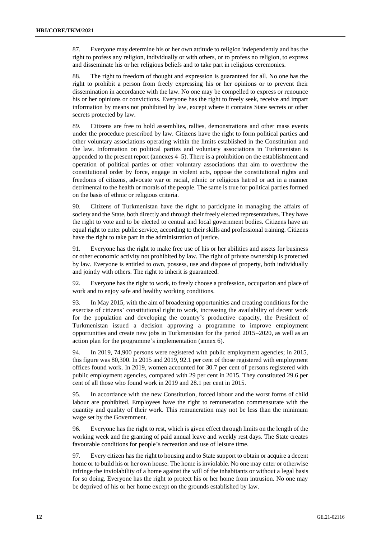87. Everyone may determine his or her own attitude to religion independently and has the right to profess any religion, individually or with others, or to profess no religion, to express and disseminate his or her religious beliefs and to take part in religious ceremonies.

88. The right to freedom of thought and expression is guaranteed for all. No one has the right to prohibit a person from freely expressing his or her opinions or to prevent their dissemination in accordance with the law. No one may be compelled to express or renounce his or her opinions or convictions. Everyone has the right to freely seek, receive and impart information by means not prohibited by law, except where it contains State secrets or other secrets protected by law.

89. Citizens are free to hold assemblies, rallies, demonstrations and other mass events under the procedure prescribed by law. Citizens have the right to form political parties and other voluntary associations operating within the limits established in the Constitution and the law. Information on political parties and voluntary associations in Turkmenistan is appended to the present report (annexes 4–5). There is a prohibition on the establishment and operation of political parties or other voluntary associations that aim to overthrow the constitutional order by force, engage in violent acts, oppose the constitutional rights and freedoms of citizens, advocate war or racial, ethnic or religious hatred or act in a manner detrimental to the health or morals of the people. The same is true for political parties formed on the basis of ethnic or religious criteria.

90. Citizens of Turkmenistan have the right to participate in managing the affairs of society and the State, both directly and through their freely elected representatives. They have the right to vote and to be elected to central and local government bodies. Citizens have an equal right to enter public service, according to their skills and professional training. Citizens have the right to take part in the administration of justice.

91. Everyone has the right to make free use of his or her abilities and assets for business or other economic activity not prohibited by law. The right of private ownership is protected by law. Everyone is entitled to own, possess, use and dispose of property, both individually and jointly with others. The right to inherit is guaranteed.

92. Everyone has the right to work, to freely choose a profession, occupation and place of work and to enjoy safe and healthy working conditions.

93. In May 2015, with the aim of broadening opportunities and creating conditions for the exercise of citizens' constitutional right to work, increasing the availability of decent work for the population and developing the country's productive capacity, the President of Turkmenistan issued a decision approving a programme to improve employment opportunities and create new jobs in Turkmenistan for the period 2015–2020, as well as an action plan for the programme's implementation (annex 6).

94. In 2019, 74,900 persons were registered with public employment agencies; in 2015, this figure was 80,300. In 2015 and 2019, 92.1 per cent of those registered with employment offices found work. In 2019, women accounted for 30.7 per cent of persons registered with public employment agencies, compared with 29 per cent in 2015. They constituted 29.6 per cent of all those who found work in 2019 and 28.1 per cent in 2015.

95. In accordance with the new Constitution, forced labour and the worst forms of child labour are prohibited. Employees have the right to remuneration commensurate with the quantity and quality of their work. This remuneration may not be less than the minimum wage set by the Government.

96. Everyone has the right to rest, which is given effect through limits on the length of the working week and the granting of paid annual leave and weekly rest days. The State creates favourable conditions for people's recreation and use of leisure time.

97. Every citizen has the right to housing and to State support to obtain or acquire a decent home or to build his or her own house. The home is inviolable. No one may enter or otherwise infringe the inviolability of a home against the will of the inhabitants or without a legal basis for so doing. Everyone has the right to protect his or her home from intrusion. No one may be deprived of his or her home except on the grounds established by law.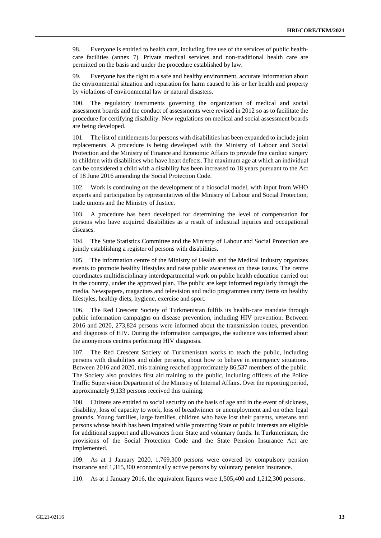98. Everyone is entitled to health care, including free use of the services of public healthcare facilities (annex 7). Private medical services and non-traditional health care are permitted on the basis and under the procedure established by law.

99. Everyone has the right to a safe and healthy environment, accurate information about the environmental situation and reparation for harm caused to his or her health and property by violations of environmental law or natural disasters.

100. The regulatory instruments governing the organization of medical and social assessment boards and the conduct of assessments were revised in 2012 so as to facilitate the procedure for certifying disability. New regulations on medical and social assessment boards are being developed.

101. The list of entitlements for persons with disabilities has been expanded to include joint replacements. A procedure is being developed with the Ministry of Labour and Social Protection and the Ministry of Finance and Economic Affairs to provide free cardiac surgery to children with disabilities who have heart defects. The maximum age at which an individual can be considered a child with a disability has been increased to 18 years pursuant to the Act of 18 June 2016 amending the Social Protection Code.

102. Work is continuing on the development of a biosocial model, with input from WHO experts and participation by representatives of the Ministry of Labour and Social Protection, trade unions and the Ministry of Justice.

103. A procedure has been developed for determining the level of compensation for persons who have acquired disabilities as a result of industrial injuries and occupational diseases.

104. The State Statistics Committee and the Ministry of Labour and Social Protection are jointly establishing a register of persons with disabilities.

105. The information centre of the Ministry of Health and the Medical Industry organizes events to promote healthy lifestyles and raise public awareness on these issues. The centre coordinates multidisciplinary interdepartmental work on public health education carried out in the country, under the approved plan. The public are kept informed regularly through the media. Newspapers, magazines and television and radio programmes carry items on healthy lifestyles, healthy diets, hygiene, exercise and sport.

106. The Red Crescent Society of Turkmenistan fulfils its health-care mandate through public information campaigns on disease prevention, including HIV prevention. Between 2016 and 2020, 273,824 persons were informed about the transmission routes, prevention and diagnosis of HIV. During the information campaigns, the audience was informed about the anonymous centres performing HIV diagnosis.

107. The Red Crescent Society of Turkmenistan works to teach the public, including persons with disabilities and older persons, about how to behave in emergency situations. Between 2016 and 2020, this training reached approximately 86,537 members of the public. The Society also provides first aid training to the public, including officers of the Police Traffic Supervision Department of the Ministry of Internal Affairs. Over the reporting period, approximately 9,133 persons received this training.

108. Citizens are entitled to social security on the basis of age and in the event of sickness, disability, loss of capacity to work, loss of breadwinner or unemployment and on other legal grounds. Young families, large families, children who have lost their parents, veterans and persons whose health has been impaired while protecting State or public interests are eligible for additional support and allowances from State and voluntary funds. In Turkmenistan, the provisions of the Social Protection Code and the State Pension Insurance Act are implemented.

109. As at 1 January 2020, 1,769,300 persons were covered by compulsory pension insurance and 1,315,300 economically active persons by voluntary pension insurance.

110. As at 1 January 2016, the equivalent figures were 1,505,400 and 1,212,300 persons.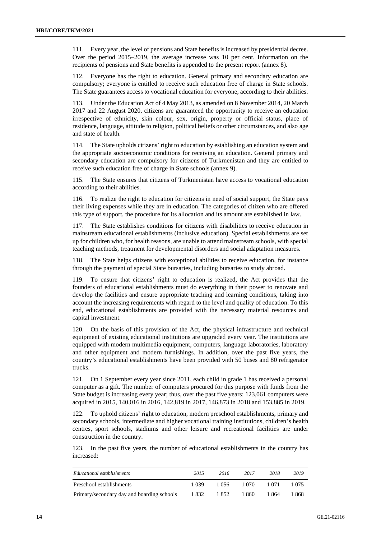111. Every year, the level of pensions and State benefits is increased by presidential decree. Over the period 2015–2019, the average increase was 10 per cent. Information on the recipients of pensions and State benefits is appended to the present report (annex 8).

112. Everyone has the right to education. General primary and secondary education are compulsory; everyone is entitled to receive such education free of charge in State schools. The State guarantees access to vocational education for everyone, according to their abilities.

113. Under the Education Act of 4 May 2013, as amended on 8 November 2014, 20 March 2017 and 22 August 2020, citizens are guaranteed the opportunity to receive an education irrespective of ethnicity, skin colour, sex, origin, property or official status, place of residence, language, attitude to religion, political beliefs or other circumstances, and also age and state of health.

114. The State upholds citizens' right to education by establishing an education system and the appropriate socioeconomic conditions for receiving an education. General primary and secondary education are compulsory for citizens of Turkmenistan and they are entitled to receive such education free of charge in State schools (annex 9).

115. The State ensures that citizens of Turkmenistan have access to vocational education according to their abilities.

116. To realize the right to education for citizens in need of social support, the State pays their living expenses while they are in education. The categories of citizen who are offered this type of support, the procedure for its allocation and its amount are established in law.

117. The State establishes conditions for citizens with disabilities to receive education in mainstream educational establishments (inclusive education). Special establishments are set up for children who, for health reasons, are unable to attend mainstream schools, with special teaching methods, treatment for developmental disorders and social adaptation measures.

118. The State helps citizens with exceptional abilities to receive education, for instance through the payment of special State bursaries, including bursaries to study abroad.

119. To ensure that citizens' right to education is realized, the Act provides that the founders of educational establishments must do everything in their power to renovate and develop the facilities and ensure appropriate teaching and learning conditions, taking into account the increasing requirements with regard to the level and quality of education. To this end, educational establishments are provided with the necessary material resources and capital investment.

120. On the basis of this provision of the Act, the physical infrastructure and technical equipment of existing educational institutions are upgraded every year. The institutions are equipped with modern multimedia equipment, computers, language laboratories, laboratory and other equipment and modern furnishings. In addition, over the past five years, the country's educational establishments have been provided with 50 buses and 80 refrigerator trucks.

121. On 1 September every year since 2011, each child in grade 1 has received a personal computer as a gift. The number of computers procured for this purpose with funds from the State budget is increasing every year; thus, over the past five years: 123,061 computers were acquired in 2015, 140,016 in 2016, 142,819 in 2017, 146,873 in 2018 and 153,885 in 2019.

122. To uphold citizens' right to education, modern preschool establishments, primary and secondary schools, intermediate and higher vocational training institutions, children's health centres, sport schools, stadiums and other leisure and recreational facilities are under construction in the country.

123. In the past five years, the number of educational establishments in the country has increased:

| Educational establishments                 | 2015  | 2016  | 2017  | 2018  | 2019  |
|--------------------------------------------|-------|-------|-------|-------|-------|
| Preschool establishments                   | 1.039 | 1.056 | 1.070 | 1 071 | 1.075 |
| Primary/secondary day and boarding schools | 1832  | 1852  | 1860  | 1 864 | 1 868 |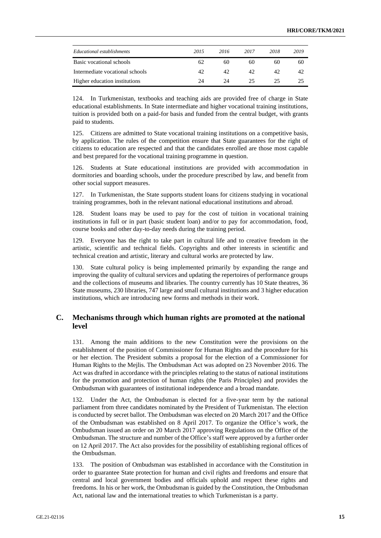| Educational establishments      | 2015 | 2016 | 2017 | 2018 | 2019 |
|---------------------------------|------|------|------|------|------|
| Basic vocational schools        | 62   | 60   | 60   | 60   | 60   |
| Intermediate vocational schools | 42   | 42   | 42   | 42   | 42   |
| Higher education institutions   | 24   | 24   | 25   | 25   | 25   |

124. In Turkmenistan, textbooks and teaching aids are provided free of charge in State educational establishments. In State intermediate and higher vocational training institutions, tuition is provided both on a paid-for basis and funded from the central budget, with grants paid to students.

125. Citizens are admitted to State vocational training institutions on a competitive basis, by application. The rules of the competition ensure that State guarantees for the right of citizens to education are respected and that the candidates enrolled are those most capable and best prepared for the vocational training programme in question.

126. Students at State educational institutions are provided with accommodation in dormitories and boarding schools, under the procedure prescribed by law, and benefit from other social support measures.

127. In Turkmenistan, the State supports student loans for citizens studying in vocational training programmes, both in the relevant national educational institutions and abroad.

128. Student loans may be used to pay for the cost of tuition in vocational training institutions in full or in part (basic student loan) and/or to pay for accommodation, food, course books and other day-to-day needs during the training period.

129. Everyone has the right to take part in cultural life and to creative freedom in the artistic, scientific and technical fields. Copyrights and other interests in scientific and technical creation and artistic, literary and cultural works are protected by law.

State cultural policy is being implemented primarily by expanding the range and improving the quality of cultural services and updating the repertoires of performance groups and the collections of museums and libraries. The country currently has 10 State theatres, 36 State museums, 230 libraries, 747 large and small cultural institutions and 3 higher education institutions, which are introducing new forms and methods in their work.

#### **C. Mechanisms through which human rights are promoted at the national level**

131. Among the main additions to the new Constitution were the provisions on the establishment of the position of Commissioner for Human Rights and the procedure for his or her election. The President submits a proposal for the election of a Commissioner for Human Rights to the Mejlis. The Ombudsman Act was adopted on 23 November 2016. The Act was drafted in accordance with the principles relating to the status of national institutions for the promotion and protection of human rights (the Paris Principles) and provides the Ombudsman with guarantees of institutional independence and a broad mandate.

Under the Act, the Ombudsman is elected for a five-year term by the national parliament from three candidates nominated by the President of Turkmenistan. The election is conducted by secret ballot. The Ombudsman was elected on 20 March 2017 and the Office of the Ombudsman was established on 8 April 2017. To organize the Office's work, the Ombudsman issued an order on 20 March 2017 approving Regulations on the Office of the Ombudsman. The structure and number of the Office's staff were approved by a further order on 12 April 2017. The Act also provides for the possibility of establishing regional offices of the Ombudsman.

133. The position of Ombudsman was established in accordance with the Constitution in order to guarantee State protection for human and civil rights and freedoms and ensure that central and local government bodies and officials uphold and respect these rights and freedoms. In his or her work, the Ombudsman is guided by the Constitution, the Ombudsman Act, national law and the international treaties to which Turkmenistan is a party.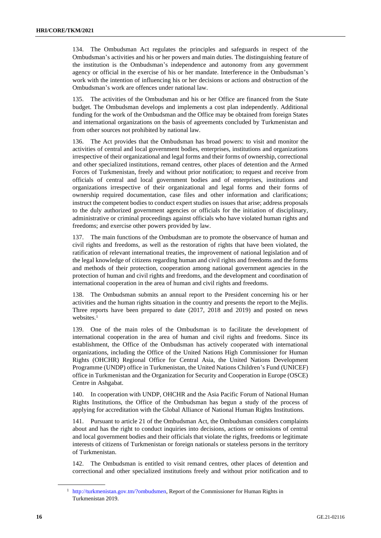134. The Ombudsman Act regulates the principles and safeguards in respect of the Ombudsman's activities and his or her powers and main duties. The distinguishing feature of the institution is the Ombudsman's independence and autonomy from any government agency or official in the exercise of his or her mandate. Interference in the Ombudsman's work with the intention of influencing his or her decisions or actions and obstruction of the Ombudsman's work are offences under national law.

135. The activities of the Ombudsman and his or her Office are financed from the State budget. The Ombudsman develops and implements a cost plan independently. Additional funding for the work of the Ombudsman and the Office may be obtained from foreign States and international organizations on the basis of agreements concluded by Turkmenistan and from other sources not prohibited by national law.

136. The Act provides that the Ombudsman has broad powers: to visit and monitor the activities of central and local government bodies, enterprises, institutions and organizations irrespective of their organizational and legal forms and their forms of ownership, correctional and other specialized institutions, remand centres, other places of detention and the Armed Forces of Turkmenistan, freely and without prior notification; to request and receive from officials of central and local government bodies and of enterprises, institutions and organizations irrespective of their organizational and legal forms and their forms of ownership required documentation, case files and other information and clarifications; instruct the competent bodies to conduct expert studies on issues that arise; address proposals to the duly authorized government agencies or officials for the initiation of disciplinary, administrative or criminal proceedings against officials who have violated human rights and freedoms; and exercise other powers provided by law.

137. The main functions of the Ombudsman are to promote the observance of human and civil rights and freedoms, as well as the restoration of rights that have been violated, the ratification of relevant international treaties, the improvement of national legislation and of the legal knowledge of citizens regarding human and civil rights and freedoms and the forms and methods of their protection, cooperation among national government agencies in the protection of human and civil rights and freedoms, and the development and coordination of international cooperation in the area of human and civil rights and freedoms.

138. The Ombudsman submits an annual report to the President concerning his or her activities and the human rights situation in the country and presents the report to the Mejlis. Three reports have been prepared to date (2017, 2018 and 2019) and posted on news websites.<sup>1</sup>

139. One of the main roles of the Ombudsman is to facilitate the development of international cooperation in the area of human and civil rights and freedoms. Since its establishment, the Office of the Ombudsman has actively cooperated with international organizations, including the Office of the United Nations High Commissioner for Human Rights (OHCHR) Regional Office for Central Asia, the United Nations Development Programme (UNDP) office in Turkmenistan, the United Nations Children's Fund (UNICEF) office in Turkmenistan and the Organization for Security and Cooperation in Europe (OSCE) Centre in Ashgabat.

140. In cooperation with UNDP, OHCHR and the Asia Pacific Forum of National Human Rights Institutions, the Office of the Ombudsman has begun a study of the process of applying for accreditation with the Global Alliance of National Human Rights Institutions.

141. Pursuant to article 21 of the Ombudsman Act, the Ombudsman considers complaints about and has the right to conduct inquiries into decisions, actions or omissions of central and local government bodies and their officials that violate the rights, freedoms or legitimate interests of citizens of Turkmenistan or foreign nationals or stateless persons in the territory of Turkmenistan.

142. The Ombudsman is entitled to visit remand centres, other places of detention and correctional and other specialized institutions freely and without prior notification and to

<sup>1</sup> [http://turkmenistan.gov.tm/?ombudsmen,](http://turkmenistan.gov.tm/?ombudsmen) Report of the Commissioner for Human Rights in Turkmenistan 2019.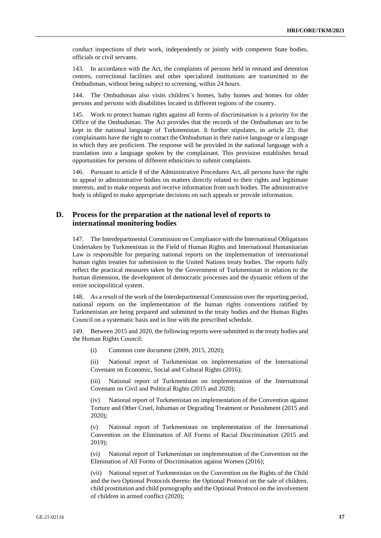conduct inspections of their work, independently or jointly with competent State bodies, officials or civil servants.

143. In accordance with the Act, the complaints of persons held in remand and detention centres, correctional facilities and other specialized institutions are transmitted to the Ombudsman, without being subject to screening, within 24 hours.

144. The Ombudsman also visits children's homes, baby homes and homes for older persons and persons with disabilities located in different regions of the country.

145. Work to protect human rights against all forms of discrimination is a priority for the Office of the Ombudsman. The Act provides that the records of the Ombudsman are to be kept in the national language of Turkmenistan. It further stipulates, in article 23, that complainants have the right to contact the Ombudsman in their native language or a language in which they are proficient. The response will be provided in the national language with a translation into a language spoken by the complainant. This provision establishes broad opportunities for persons of different ethnicities to submit complaints.

146. Pursuant to article 8 of the Administrative Procedures Act, all persons have the right to appeal to administrative bodies on matters directly related to their rights and legitimate interests, and to make requests and receive information from such bodies. The administrative body is obliged to make appropriate decisions on such appeals or provide information.

#### **D. Process for the preparation at the national level of reports to international monitoring bodies**

147. The Interdepartmental Commission on Compliance with the International Obligations Undertaken by Turkmenistan in the Field of Human Rights and International Humanitarian Law is responsible for preparing national reports on the implementation of international human rights treaties for submission to the United Nations treaty bodies. The reports fully reflect the practical measures taken by the Government of Turkmenistan in relation to the human dimension, the development of democratic processes and the dynamic reform of the entire sociopolitical system.

148. As a result of the work of the Interdepartmental Commission over the reporting period, national reports on the implementation of the human rights conventions ratified by Turkmenistan are being prepared and submitted to the treaty bodies and the Human Rights Council on a systematic basis and in line with the prescribed schedule.

149. Between 2015 and 2020, the following reports were submitted to the treaty bodies and the Human Rights Council:

(i) Common core document (2009, 2015, 2020);

(ii) National report of Turkmenistan on implementation of the International Covenant on Economic, Social and Cultural Rights (2016);

(iii) National report of Turkmenistan on implementation of the International Covenant on Civil and Political Rights (2015 and 2020);

(iv) National report of Turkmenistan on implementation of the Convention against Torture and Other Cruel, Inhuman or Degrading Treatment or Punishment (2015 and 2020);

(v) National report of Turkmenistan on implementation of the International Convention on the Elimination of All Forms of Racial Discrimination (2015 and 2019);

(vi) National report of Turkmenistan on implementation of the Convention on the Elimination of All Forms of Discrimination against Women (2016);

(vii) National report of Turkmenistan on the Convention on the Rights of the Child and the two Optional Protocols thereto: the Optional Protocol on the sale of children, child prostitution and child pornography and the Optional Protocol on the involvement of children in armed conflict (2020);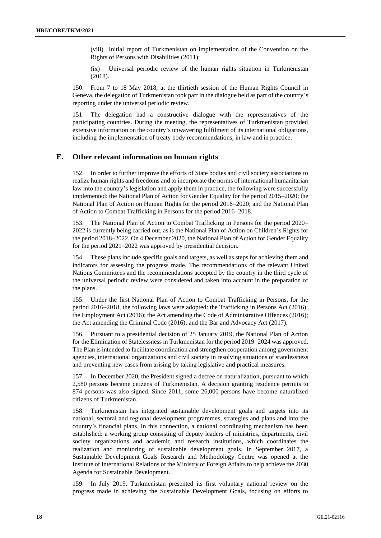(viii) Initial report of Turkmenistan on implementation of the Convention on the Rights of Persons with Disabilities (2011);

(ix) Universal periodic review of the human rights situation in Turkmenistan (2018).

150. From 7 to 18 May 2018, at the thirtieth session of the Human Rights Council in Geneva, the delegation of Turkmenistan took part in the dialogue held as part of the country's reporting under the universal periodic review.

151. The delegation had a constructive dialogue with the representatives of the participating countries. During the meeting, the representatives of Turkmenistan provided extensive information on the country's unwavering fulfilment of its international obligations, including the implementation of treaty body recommendations, in law and in practice.

#### **E. Other relevant information on human rights**

152. In order to further improve the efforts of State bodies and civil society associations to realize human rights and freedoms and to incorporate the norms of international humanitarian law into the country's legislation and apply them in practice, the following were successfully implemented: the National Plan of Action for Gender Equality for the period 2015–2020; the National Plan of Action on Human Rights for the period 2016–2020; and the National Plan of Action to Combat Trafficking in Persons for the period 2016–2018.

153. The National Plan of Action to Combat Trafficking in Persons for the period 2020– 2022 is currently being carried out, as is the National Plan of Action on Children's Rights for the period 2018–2022. On 4 December 2020, the National Plan of Action for Gender Equality for the period 2021–2022 was approved by presidential decision.

154. These plans include specific goals and targets, as well as steps for achieving them and indicators for assessing the progress made. The recommendations of the relevant United Nations Committees and the recommendations accepted by the country in the third cycle of the universal periodic review were considered and taken into account in the preparation of the plans.

155. Under the first National Plan of Action to Combat Trafficking in Persons, for the period 2016–2018, the following laws were adopted: the Trafficking in Persons Act (2016); the Employment Act (2016); the Act amending the Code of Administrative Offences (2016); the Act amending the Criminal Code (2016); and the Bar and Advocacy Act (2017).

156. Pursuant to a presidential decision of 25 January 2019, the National Plan of Action for the Elimination of Statelessness in Turkmenistan for the period 2019–2024 was approved. The Plan is intended to facilitate coordination and strengthen cooperation among government agencies, international organizations and civil society in resolving situations of statelessness and preventing new cases from arising by taking legislative and practical measures.

157. In December 2020, the President signed a decree on naturalization, pursuant to which 2,580 persons became citizens of Turkmenistan. A decision granting residence permits to 874 persons was also signed. Since 2011, some 26,000 persons have become naturalized citizens of Turkmenistan.

158. Turkmenistan has integrated sustainable development goals and targets into its national, sectoral and regional development programmes, strategies and plans and into the country's financial plans. In this connection, a national coordinating mechanism has been established: a working group consisting of deputy leaders of ministries, departments, civil society organizations and academic and research institutions, which coordinates the realization and monitoring of sustainable development goals. In September 2017, a Sustainable Development Goals Research and Methodology Centre was opened at the Institute of International Relations of the Ministry of Foreign Affairs to help achieve the 2030 Agenda for Sustainable Development.

159. In July 2019, Turkmenistan presented its first voluntary national review on the progress made in achieving the Sustainable Development Goals, focusing on efforts to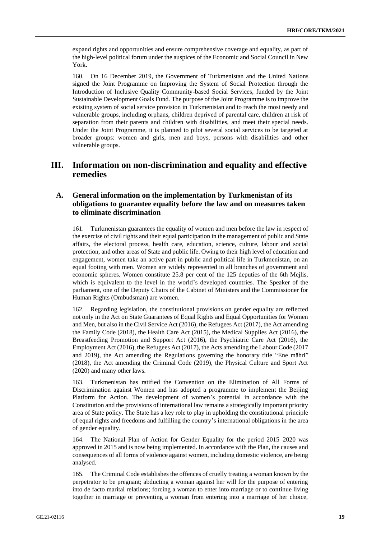expand rights and opportunities and ensure comprehensive coverage and equality, as part of the high-level political forum under the auspices of the Economic and Social Council in New York.

160. On 16 December 2019, the Government of Turkmenistan and the United Nations signed the Joint Programme on Improving the System of Social Protection through the Introduction of Inclusive Quality Community-based Social Services, funded by the Joint Sustainable Development Goals Fund. The purpose of the Joint Programme is to improve the existing system of social service provision in Turkmenistan and to reach the most needy and vulnerable groups, including orphans, children deprived of parental care, children at risk of separation from their parents and children with disabilities, and meet their special needs. Under the Joint Programme, it is planned to pilot several social services to be targeted at broader groups: women and girls, men and boys, persons with disabilities and other vulnerable groups.

## **III. Information on non-discrimination and equality and effective remedies**

#### **A. General information on the implementation by Turkmenistan of its obligations to guarantee equality before the law and on measures taken to eliminate discrimination**

161. Turkmenistan guarantees the equality of women and men before the law in respect of the exercise of civil rights and their equal participation in the management of public and State affairs, the electoral process, health care, education, science, culture, labour and social protection, and other areas of State and public life. Owing to their high level of education and engagement, women take an active part in public and political life in Turkmenistan, on an equal footing with men. Women are widely represented in all branches of government and economic spheres. Women constitute 25.8 per cent of the 125 deputies of the 6th Mejlis, which is equivalent to the level in the world's developed countries. The Speaker of the parliament, one of the Deputy Chairs of the Cabinet of Ministers and the Commissioner for Human Rights (Ombudsman) are women.

162. Regarding legislation, the constitutional provisions on gender equality are reflected not only in the Act on State Guarantees of Equal Rights and Equal Opportunities for Women and Men, but also in the Civil Service Act (2016), the Refugees Act (2017), the Act amending the Family Code (2018), the Health Care Act (2015), the Medical Supplies Act (2016), the Breastfeeding Promotion and Support Act (2016), the Psychiatric Care Act (2016), the Employment Act (2016), the Refugees Act (2017), the Acts amending the Labour Code (2017 and 2019), the Act amending the Regulations governing the honorary title "Ene mähri" (2018), the Act amending the Criminal Code (2019), the Physical Culture and Sport Act (2020) and many other laws.

163. Turkmenistan has ratified the Convention on the Elimination of All Forms of Discrimination against Women and has adopted a programme to implement the Beijing Platform for Action. The development of women's potential in accordance with the Constitution and the provisions of international law remains a strategically important priority area of State policy. The State has a key role to play in upholding the constitutional principle of equal rights and freedoms and fulfilling the country's international obligations in the area of gender equality.

164. The National Plan of Action for Gender Equality for the period 2015–2020 was approved in 2015 and is now being implemented. In accordance with the Plan, the causes and consequences of all forms of violence against women, including domestic violence, are being analysed.

165. The Criminal Code establishes the offences of cruelly treating a woman known by the perpetrator to be pregnant; abducting a woman against her will for the purpose of entering into de facto marital relations; forcing a woman to enter into marriage or to continue living together in marriage or preventing a woman from entering into a marriage of her choice,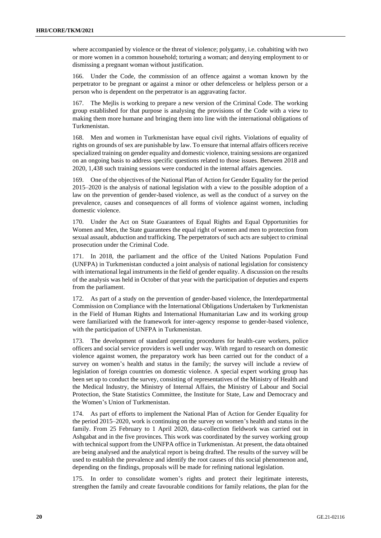where accompanied by violence or the threat of violence; polygamy, i.e. cohabiting with two or more women in a common household; torturing a woman; and denying employment to or dismissing a pregnant woman without justification.

166. Under the Code, the commission of an offence against a woman known by the perpetrator to be pregnant or against a minor or other defenceless or helpless person or a person who is dependent on the perpetrator is an aggravating factor.

167. The Mejlis is working to prepare a new version of the Criminal Code. The working group established for that purpose is analysing the provisions of the Code with a view to making them more humane and bringing them into line with the international obligations of Turkmenistan.

168. Men and women in Turkmenistan have equal civil rights. Violations of equality of rights on grounds of sex are punishable by law. To ensure that internal affairs officers receive specialized training on gender equality and domestic violence, training sessions are organized on an ongoing basis to address specific questions related to those issues. Between 2018 and 2020, 1,438 such training sessions were conducted in the internal affairs agencies.

169. One of the objectives of the National Plan of Action for Gender Equality for the period 2015–2020 is the analysis of national legislation with a view to the possible adoption of a law on the prevention of gender-based violence, as well as the conduct of a survey on the prevalence, causes and consequences of all forms of violence against women, including domestic violence.

170. Under the Act on State Guarantees of Equal Rights and Equal Opportunities for Women and Men, the State guarantees the equal right of women and men to protection from sexual assault, abduction and trafficking. The perpetrators of such acts are subject to criminal prosecution under the Criminal Code.

171. In 2018, the parliament and the office of the United Nations Population Fund (UNFPA) in Turkmenistan conducted a joint analysis of national legislation for consistency with international legal instruments in the field of gender equality. A discussion on the results of the analysis was held in October of that year with the participation of deputies and experts from the parliament.

172. As part of a study on the prevention of gender-based violence, the Interdepartmental Commission on Compliance with the International Obligations Undertaken by Turkmenistan in the Field of Human Rights and International Humanitarian Law and its working group were familiarized with the framework for inter-agency response to gender-based violence, with the participation of UNFPA in Turkmenistan.

173. The development of standard operating procedures for health-care workers, police officers and social service providers is well under way. With regard to research on domestic violence against women, the preparatory work has been carried out for the conduct of a survey on women's health and status in the family; the survey will include a review of legislation of foreign countries on domestic violence. A special expert working group has been set up to conduct the survey, consisting of representatives of the Ministry of Health and the Medical Industry, the Ministry of Internal Affairs, the Ministry of Labour and Social Protection, the State Statistics Committee, the Institute for State, Law and Democracy and the Women's Union of Turkmenistan.

174. As part of efforts to implement the National Plan of Action for Gender Equality for the period 2015–2020, work is continuing on the survey on women's health and status in the family. From 25 February to 1 April 2020, data-collection fieldwork was carried out in Ashgabat and in the five provinces. This work was coordinated by the survey working group with technical support from the UNFPA office in Turkmenistan. At present, the data obtained are being analysed and the analytical report is being drafted. The results of the survey will be used to establish the prevalence and identify the root causes of this social phenomenon and, depending on the findings, proposals will be made for refining national legislation.

175. In order to consolidate women's rights and protect their legitimate interests, strengthen the family and create favourable conditions for family relations, the plan for the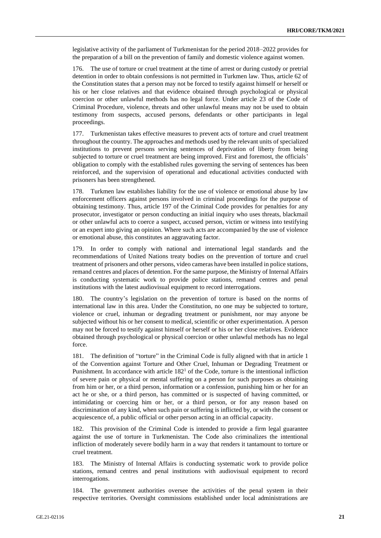legislative activity of the parliament of Turkmenistan for the period 2018–2022 provides for the preparation of a bill on the prevention of family and domestic violence against women.

176. The use of torture or cruel treatment at the time of arrest or during custody or pretrial detention in order to obtain confessions is not permitted in Turkmen law. Thus, article 62 of the Constitution states that a person may not be forced to testify against himself or herself or his or her close relatives and that evidence obtained through psychological or physical coercion or other unlawful methods has no legal force. Under article 23 of the Code of Criminal Procedure, violence, threats and other unlawful means may not be used to obtain testimony from suspects, accused persons, defendants or other participants in legal proceedings.

177. Turkmenistan takes effective measures to prevent acts of torture and cruel treatment throughout the country. The approaches and methods used by the relevant units of specialized institutions to prevent persons serving sentences of deprivation of liberty from being subjected to torture or cruel treatment are being improved. First and foremost, the officials' obligation to comply with the established rules governing the serving of sentences has been reinforced, and the supervision of operational and educational activities conducted with prisoners has been strengthened.

178. Turkmen law establishes liability for the use of violence or emotional abuse by law enforcement officers against persons involved in criminal proceedings for the purpose of obtaining testimony. Thus, article 197 of the Criminal Code provides for penalties for any prosecutor, investigator or person conducting an initial inquiry who uses threats, blackmail or other unlawful acts to coerce a suspect, accused person, victim or witness into testifying or an expert into giving an opinion. Where such acts are accompanied by the use of violence or emotional abuse, this constitutes an aggravating factor.

179. In order to comply with national and international legal standards and the recommendations of United Nations treaty bodies on the prevention of torture and cruel treatment of prisoners and other persons, video cameras have been installed in police stations, remand centres and places of detention. For the same purpose, the Ministry of Internal Affairs is conducting systematic work to provide police stations, remand centres and penal institutions with the latest audiovisual equipment to record interrogations.

180. The country's legislation on the prevention of torture is based on the norms of international law in this area. Under the Constitution, no one may be subjected to torture, violence or cruel, inhuman or degrading treatment or punishment, nor may anyone be subjected without his or her consent to medical, scientific or other experimentation. A person may not be forced to testify against himself or herself or his or her close relatives. Evidence obtained through psychological or physical coercion or other unlawful methods has no legal force.

181. The definition of "torture" in the Criminal Code is fully aligned with that in article 1 of the Convention against Torture and Other Cruel, Inhuman or Degrading Treatment or Punishment. In accordance with article  $182<sup>1</sup>$  of the Code, torture is the intentional infliction of severe pain or physical or mental suffering on a person for such purposes as obtaining from him or her, or a third person, information or a confession, punishing him or her for an act he or she, or a third person, has committed or is suspected of having committed, or intimidating or coercing him or her, or a third person, or for any reason based on discrimination of any kind, when such pain or suffering is inflicted by, or with the consent or acquiescence of, a public official or other person acting in an official capacity.

182. This provision of the Criminal Code is intended to provide a firm legal guarantee against the use of torture in Turkmenistan. The Code also criminalizes the intentional infliction of moderately severe bodily harm in a way that renders it tantamount to torture or cruel treatment.

183. The Ministry of Internal Affairs is conducting systematic work to provide police stations, remand centres and penal institutions with audiovisual equipment to record interrogations.

184. The government authorities oversee the activities of the penal system in their respective territories. Oversight commissions established under local administrations are